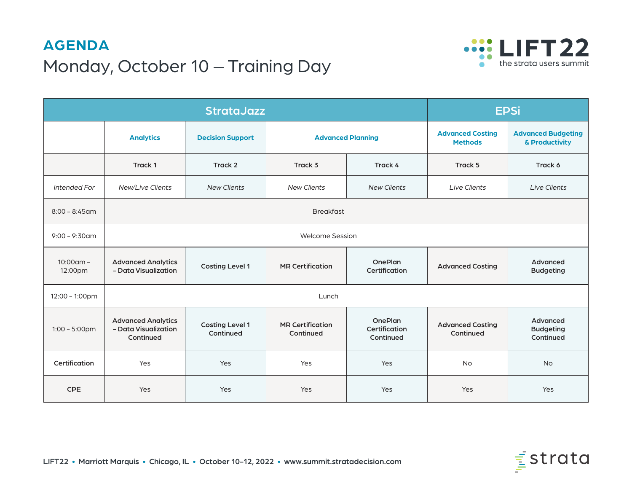# **AGENDA** Monday, October 10 – Training Day



|                         | <b>StrataJazz</b>                                              |                                     |                                      |                                              | <b>EPSi</b>                               |                                             |
|-------------------------|----------------------------------------------------------------|-------------------------------------|--------------------------------------|----------------------------------------------|-------------------------------------------|---------------------------------------------|
|                         | <b>Analytics</b>                                               | <b>Decision Support</b>             | <b>Advanced Planning</b>             |                                              | <b>Advanced Costing</b><br><b>Methods</b> | <b>Advanced Budgeting</b><br>& Productivity |
|                         | Track 1                                                        | Track 2                             | Track 3                              | Track 4                                      | Track 5                                   | Track 6                                     |
| Intended For            | New/Live Clients                                               | <b>New Clients</b>                  | <b>New Clients</b>                   | <b>New Clients</b>                           | <b>Live Clients</b>                       | <b>Live Clients</b>                         |
| $8:00 - 8:45$ am        | <b>Breakfast</b>                                               |                                     |                                      |                                              |                                           |                                             |
| $9:00 - 9:30$ am        | <b>Welcome Session</b>                                         |                                     |                                      |                                              |                                           |                                             |
| $10:00$ am -<br>12:00pm | <b>Advanced Analytics</b><br>- Data Visualization              | <b>Costing Level 1</b>              | <b>MR Certification</b>              | <b>OnePlan</b><br>Certification              | <b>Advanced Costing</b>                   | Advanced<br><b>Budgeting</b>                |
| 12:00 - 1:00pm          | Lunch                                                          |                                     |                                      |                                              |                                           |                                             |
| $1:00 - 5:00$ pm        | <b>Advanced Analytics</b><br>- Data Visualization<br>Continued | <b>Costing Level 1</b><br>Continued | <b>MR Certification</b><br>Continued | <b>OnePlan</b><br>Certification<br>Continued | <b>Advanced Costing</b><br>Continued      | Advanced<br><b>Budgeting</b><br>Continued   |
| Certification           | Yes                                                            | Yes                                 | Yes                                  | Yes                                          | <b>No</b>                                 | <b>No</b>                                   |
| <b>CPE</b>              | Yes                                                            | Yes                                 | Yes                                  | Yes                                          | Yes                                       | Yes                                         |